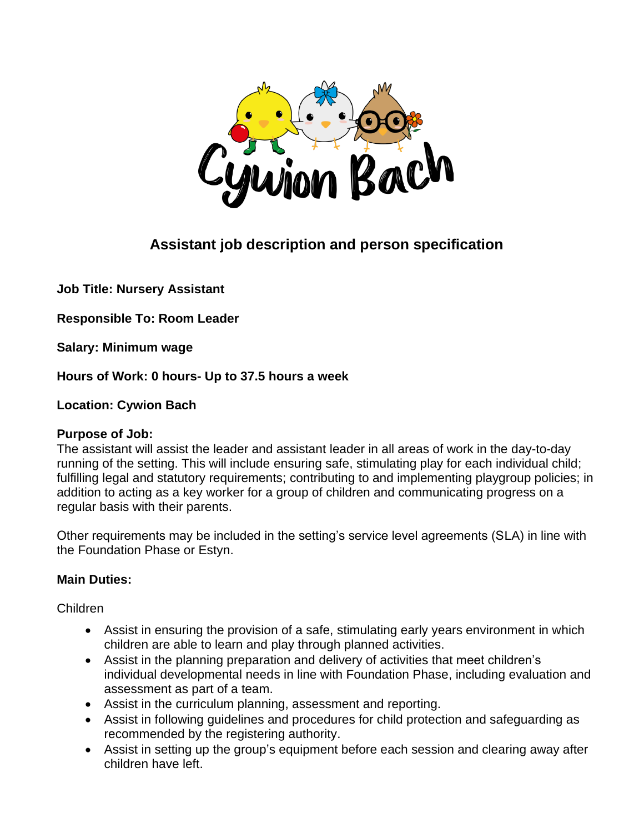

# **Assistant job description and person specification**

**Job Title: Nursery Assistant**

**Responsible To: Room Leader**

**Salary: Minimum wage**

**Hours of Work: 0 hours- Up to 37.5 hours a week**

**Location: Cywion Bach** 

#### **Purpose of Job:**

The assistant will assist the leader and assistant leader in all areas of work in the day-to-day running of the setting. This will include ensuring safe, stimulating play for each individual child; fulfilling legal and statutory requirements; contributing to and implementing playgroup policies; in addition to acting as a key worker for a group of children and communicating progress on a regular basis with their parents.

Other requirements may be included in the setting's service level agreements (SLA) in line with the Foundation Phase or Estyn.

### **Main Duties:**

#### Children

- Assist in ensuring the provision of a safe, stimulating early years environment in which children are able to learn and play through planned activities.
- Assist in the planning preparation and delivery of activities that meet children's individual developmental needs in line with Foundation Phase, including evaluation and assessment as part of a team.
- Assist in the curriculum planning, assessment and reporting.
- Assist in following guidelines and procedures for child protection and safeguarding as recommended by the registering authority.
- Assist in setting up the group's equipment before each session and clearing away after children have left.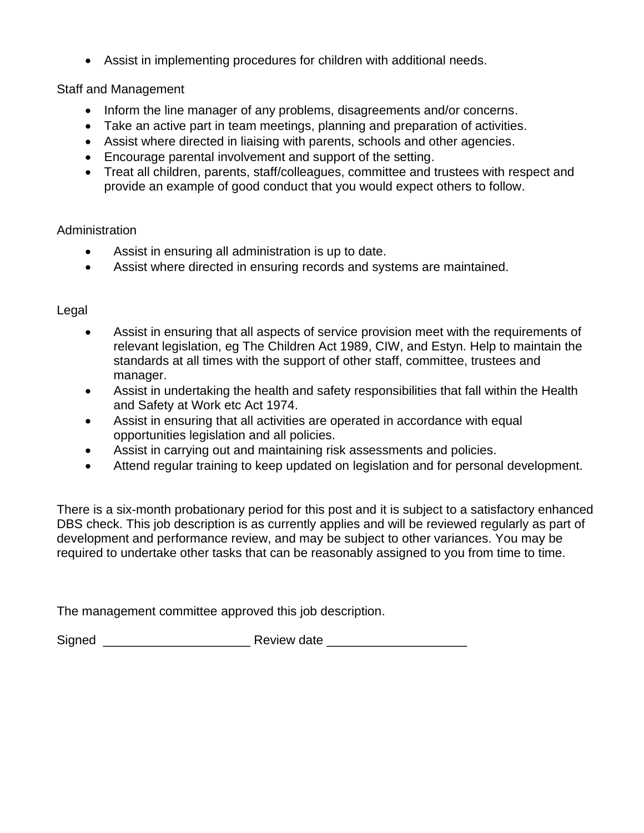• Assist in implementing procedures for children with additional needs.

#### Staff and Management

- Inform the line manager of any problems, disagreements and/or concerns.
- Take an active part in team meetings, planning and preparation of activities.
- Assist where directed in liaising with parents, schools and other agencies.
- Encourage parental involvement and support of the setting.
- Treat all children, parents, staff/colleagues, committee and trustees with respect and provide an example of good conduct that you would expect others to follow.

#### Administration

- Assist in ensuring all administration is up to date.
- Assist where directed in ensuring records and systems are maintained.

#### Legal

- Assist in ensuring that all aspects of service provision meet with the requirements of relevant legislation, eg The Children Act 1989, CIW, and Estyn. Help to maintain the standards at all times with the support of other staff, committee, trustees and manager.
- Assist in undertaking the health and safety responsibilities that fall within the Health and Safety at Work etc Act 1974.
- Assist in ensuring that all activities are operated in accordance with equal opportunities legislation and all policies.
- Assist in carrying out and maintaining risk assessments and policies.
- Attend regular training to keep updated on legislation and for personal development.

There is a six-month probationary period for this post and it is subject to a satisfactory enhanced DBS check. This job description is as currently applies and will be reviewed regularly as part of development and performance review, and may be subject to other variances. You may be required to undertake other tasks that can be reasonably assigned to you from time to time.

The management committee approved this job description.

Signed **Example 2 Signed Review date**  $\sim$